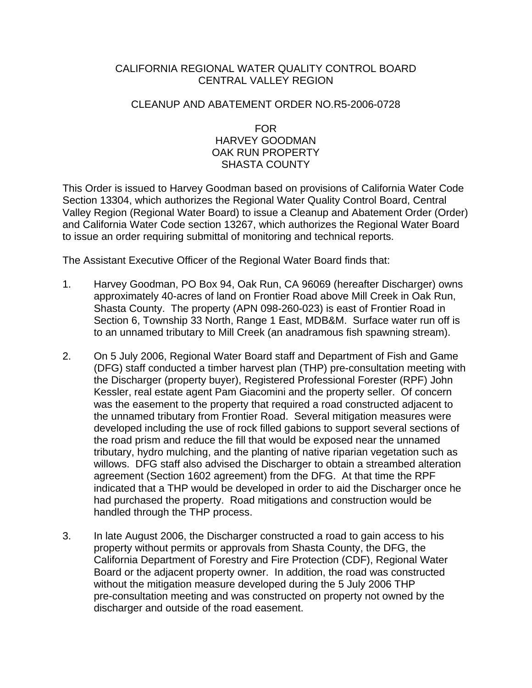## CALIFORNIA REGIONAL WATER QUALITY CONTROL BOARD CENTRAL VALLEY REGION

## CLEANUP AND ABATEMENT ORDER NO.R5-2006-0728

## FOR HARVEY GOODMAN OAK RUN PROPERTY SHASTA COUNTY

This Order is issued to Harvey Goodman based on provisions of California Water Code Section 13304, which authorizes the Regional Water Quality Control Board, Central Valley Region (Regional Water Board) to issue a Cleanup and Abatement Order (Order) and California Water Code section 13267, which authorizes the Regional Water Board to issue an order requiring submittal of monitoring and technical reports.

The Assistant Executive Officer of the Regional Water Board finds that:

- 1. Harvey Goodman, PO Box 94, Oak Run, CA 96069 (hereafter Discharger) owns approximately 40-acres of land on Frontier Road above Mill Creek in Oak Run, Shasta County. The property (APN 098-260-023) is east of Frontier Road in Section 6, Township 33 North, Range 1 East, MDB&M. Surface water run off is to an unnamed tributary to Mill Creek (an anadramous fish spawning stream).
- 2. On 5 July 2006, Regional Water Board staff and Department of Fish and Game (DFG) staff conducted a timber harvest plan (THP) pre-consultation meeting with the Discharger (property buyer), Registered Professional Forester (RPF) John Kessler, real estate agent Pam Giacomini and the property seller. Of concern was the easement to the property that required a road constructed adjacent to the unnamed tributary from Frontier Road. Several mitigation measures were developed including the use of rock filled gabions to support several sections of the road prism and reduce the fill that would be exposed near the unnamed tributary, hydro mulching, and the planting of native riparian vegetation such as willows. DFG staff also advised the Discharger to obtain a streambed alteration agreement (Section 1602 agreement) from the DFG. At that time the RPF indicated that a THP would be developed in order to aid the Discharger once he had purchased the property. Road mitigations and construction would be handled through the THP process.
- 3. In late August 2006, the Discharger constructed a road to gain access to his property without permits or approvals from Shasta County, the DFG, the California Department of Forestry and Fire Protection (CDF), Regional Water Board or the adjacent property owner. In addition, the road was constructed without the mitigation measure developed during the 5 July 2006 THP pre-consultation meeting and was constructed on property not owned by the discharger and outside of the road easement.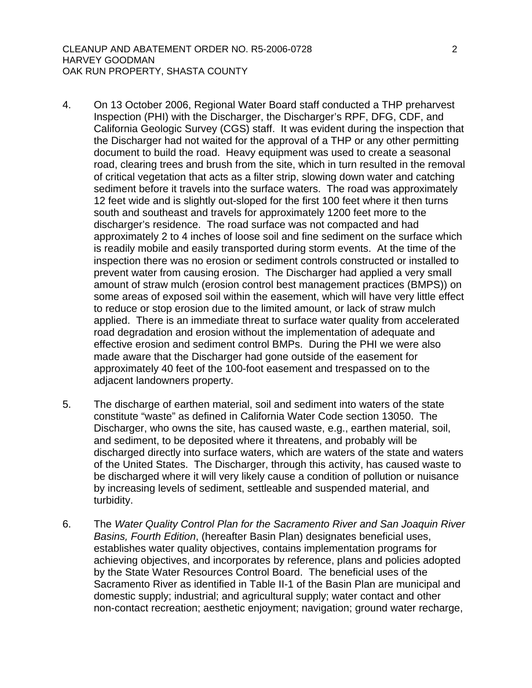- 4. On 13 October 2006, Regional Water Board staff conducted a THP preharvest Inspection (PHI) with the Discharger, the Discharger's RPF, DFG, CDF, and California Geologic Survey (CGS) staff. It was evident during the inspection that the Discharger had not waited for the approval of a THP or any other permitting document to build the road. Heavy equipment was used to create a seasonal road, clearing trees and brush from the site, which in turn resulted in the removal of critical vegetation that acts as a filter strip, slowing down water and catching sediment before it travels into the surface waters. The road was approximately 12 feet wide and is slightly out-sloped for the first 100 feet where it then turns south and southeast and travels for approximately 1200 feet more to the discharger's residence. The road surface was not compacted and had approximately 2 to 4 inches of loose soil and fine sediment on the surface which is readily mobile and easily transported during storm events. At the time of the inspection there was no erosion or sediment controls constructed or installed to prevent water from causing erosion. The Discharger had applied a very small amount of straw mulch (erosion control best management practices (BMPS)) on some areas of exposed soil within the easement, which will have very little effect to reduce or stop erosion due to the limited amount, or lack of straw mulch applied. There is an immediate threat to surface water quality from accelerated road degradation and erosion without the implementation of adequate and effective erosion and sediment control BMPs. During the PHI we were also made aware that the Discharger had gone outside of the easement for approximately 40 feet of the 100-foot easement and trespassed on to the adjacent landowners property.
- 5. The discharge of earthen material, soil and sediment into waters of the state constitute "waste" as defined in California Water Code section 13050. The Discharger, who owns the site, has caused waste, e.g., earthen material, soil, and sediment, to be deposited where it threatens, and probably will be discharged directly into surface waters, which are waters of the state and waters of the United States. The Discharger, through this activity, has caused waste to be discharged where it will very likely cause a condition of pollution or nuisance by increasing levels of sediment, settleable and suspended material, and turbidity.
- 6. The *Water Quality Control Plan for the Sacramento River and San Joaquin River Basins, Fourth Edition*, (hereafter Basin Plan) designates beneficial uses, establishes water quality objectives, contains implementation programs for achieving objectives, and incorporates by reference, plans and policies adopted by the State Water Resources Control Board. The beneficial uses of the Sacramento River as identified in Table II-1 of the Basin Plan are municipal and domestic supply; industrial; and agricultural supply; water contact and other non-contact recreation; aesthetic enjoyment; navigation; ground water recharge,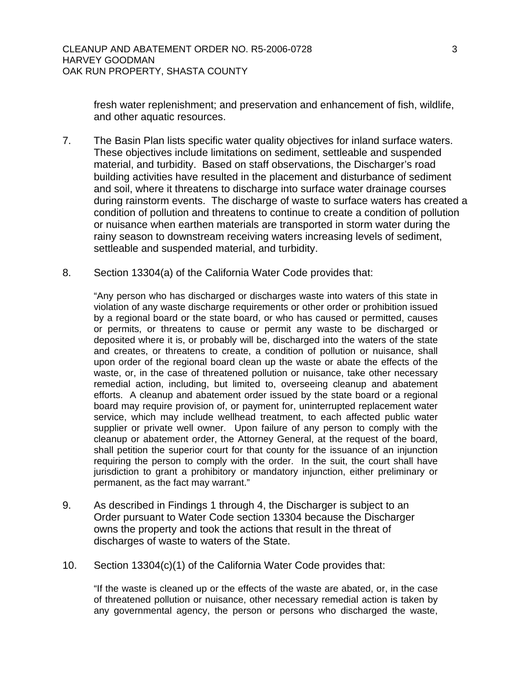fresh water replenishment; and preservation and enhancement of fish, wildlife, and other aquatic resources.

- 7. The Basin Plan lists specific water quality objectives for inland surface waters. These objectives include limitations on sediment, settleable and suspended material, and turbidity. Based on staff observations, the Discharger's road building activities have resulted in the placement and disturbance of sediment and soil, where it threatens to discharge into surface water drainage courses during rainstorm events. The discharge of waste to surface waters has created a condition of pollution and threatens to continue to create a condition of pollution or nuisance when earthen materials are transported in storm water during the rainy season to downstream receiving waters increasing levels of sediment, settleable and suspended material, and turbidity.
- 8. Section 13304(a) of the California Water Code provides that:

"Any person who has discharged or discharges waste into waters of this state in violation of any waste discharge requirements or other order or prohibition issued by a regional board or the state board, or who has caused or permitted, causes or permits, or threatens to cause or permit any waste to be discharged or deposited where it is, or probably will be, discharged into the waters of the state and creates, or threatens to create, a condition of pollution or nuisance, shall upon order of the regional board clean up the waste or abate the effects of the waste, or, in the case of threatened pollution or nuisance, take other necessary remedial action, including, but limited to, overseeing cleanup and abatement efforts. A cleanup and abatement order issued by the state board or a regional board may require provision of, or payment for, uninterrupted replacement water service, which may include wellhead treatment, to each affected public water supplier or private well owner. Upon failure of any person to comply with the cleanup or abatement order, the Attorney General, at the request of the board, shall petition the superior court for that county for the issuance of an injunction requiring the person to comply with the order. In the suit, the court shall have jurisdiction to grant a prohibitory or mandatory injunction, either preliminary or permanent, as the fact may warrant."

- 9. As described in Findings 1 through 4, the Discharger is subject to an Order pursuant to Water Code section 13304 because the Discharger owns the property and took the actions that result in the threat of discharges of waste to waters of the State.
- 10. Section 13304(c)(1) of the California Water Code provides that:

"If the waste is cleaned up or the effects of the waste are abated, or, in the case of threatened pollution or nuisance, other necessary remedial action is taken by any governmental agency, the person or persons who discharged the waste,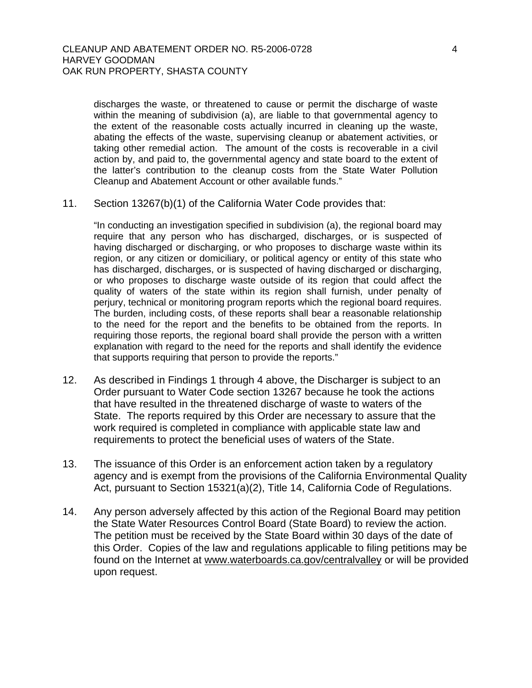discharges the waste, or threatened to cause or permit the discharge of waste within the meaning of subdivision (a), are liable to that governmental agency to the extent of the reasonable costs actually incurred in cleaning up the waste, abating the effects of the waste, supervising cleanup or abatement activities, or taking other remedial action. The amount of the costs is recoverable in a civil action by, and paid to, the governmental agency and state board to the extent of the latter's contribution to the cleanup costs from the State Water Pollution Cleanup and Abatement Account or other available funds."

11. Section 13267(b)(1) of the California Water Code provides that:

"In conducting an investigation specified in subdivision (a), the regional board may require that any person who has discharged, discharges, or is suspected of having discharged or discharging, or who proposes to discharge waste within its region, or any citizen or domiciliary, or political agency or entity of this state who has discharged, discharges, or is suspected of having discharged or discharging, or who proposes to discharge waste outside of its region that could affect the quality of waters of the state within its region shall furnish, under penalty of perjury, technical or monitoring program reports which the regional board requires. The burden, including costs, of these reports shall bear a reasonable relationship to the need for the report and the benefits to be obtained from the reports. In requiring those reports, the regional board shall provide the person with a written explanation with regard to the need for the reports and shall identify the evidence that supports requiring that person to provide the reports."

- 12. As described in Findings 1 through 4 above, the Discharger is subject to an Order pursuant to Water Code section 13267 because he took the actions that have resulted in the threatened discharge of waste to waters of the State. The reports required by this Order are necessary to assure that the work required is completed in compliance with applicable state law and requirements to protect the beneficial uses of waters of the State.
- 13. The issuance of this Order is an enforcement action taken by a regulatory agency and is exempt from the provisions of the California Environmental Quality Act, pursuant to Section 15321(a)(2), Title 14, California Code of Regulations.
- 14. Any person adversely affected by this action of the Regional Board may petition the State Water Resources Control Board (State Board) to review the action. The petition must be received by the State Board within 30 days of the date of this Order. Copies of the law and regulations applicable to filing petitions may be found on the Internet at [www.waterboards.ca.gov/centralvalley](http://www.waterboards.ca.gov/centralvalley) or will be provided upon request.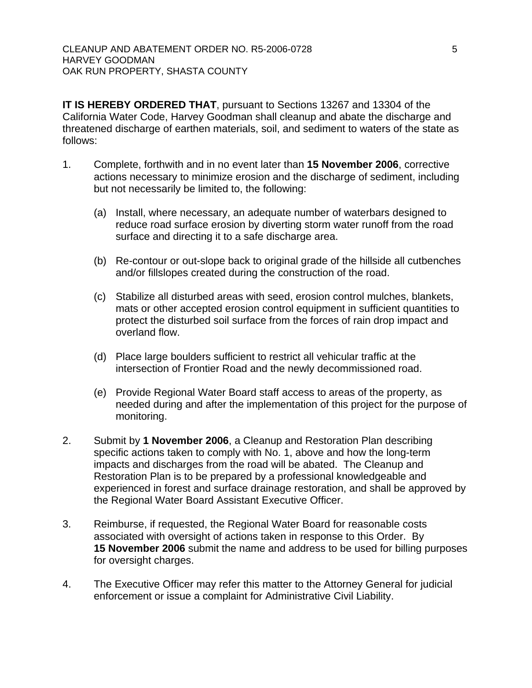**IT IS HEREBY ORDERED THAT**, pursuant to Sections 13267 and 13304 of the California Water Code, Harvey Goodman shall cleanup and abate the discharge and threatened discharge of earthen materials, soil, and sediment to waters of the state as follows:

- 1. Complete, forthwith and in no event later than **15 November 2006**, corrective actions necessary to minimize erosion and the discharge of sediment, including but not necessarily be limited to, the following:
	- (a) Install, where necessary, an adequate number of waterbars designed to reduce road surface erosion by diverting storm water runoff from the road surface and directing it to a safe discharge area.
	- (b) Re-contour or out-slope back to original grade of the hillside all cutbenches and/or fillslopes created during the construction of the road.
	- (c) Stabilize all disturbed areas with seed, erosion control mulches, blankets, mats or other accepted erosion control equipment in sufficient quantities to protect the disturbed soil surface from the forces of rain drop impact and overland flow.
	- (d) Place large boulders sufficient to restrict all vehicular traffic at the intersection of Frontier Road and the newly decommissioned road.
	- (e) Provide Regional Water Board staff access to areas of the property, as needed during and after the implementation of this project for the purpose of monitoring.
- 2. Submit by **1 November 2006**, a Cleanup and Restoration Plan describing specific actions taken to comply with No. 1, above and how the long-term impacts and discharges from the road will be abated. The Cleanup and Restoration Plan is to be prepared by a professional knowledgeable and experienced in forest and surface drainage restoration, and shall be approved by the Regional Water Board Assistant Executive Officer.
- 3. Reimburse, if requested, the Regional Water Board for reasonable costs associated with oversight of actions taken in response to this Order. By **15 November 2006** submit the name and address to be used for billing purposes for oversight charges.
- 4. The Executive Officer may refer this matter to the Attorney General for judicial enforcement or issue a complaint for Administrative Civil Liability.